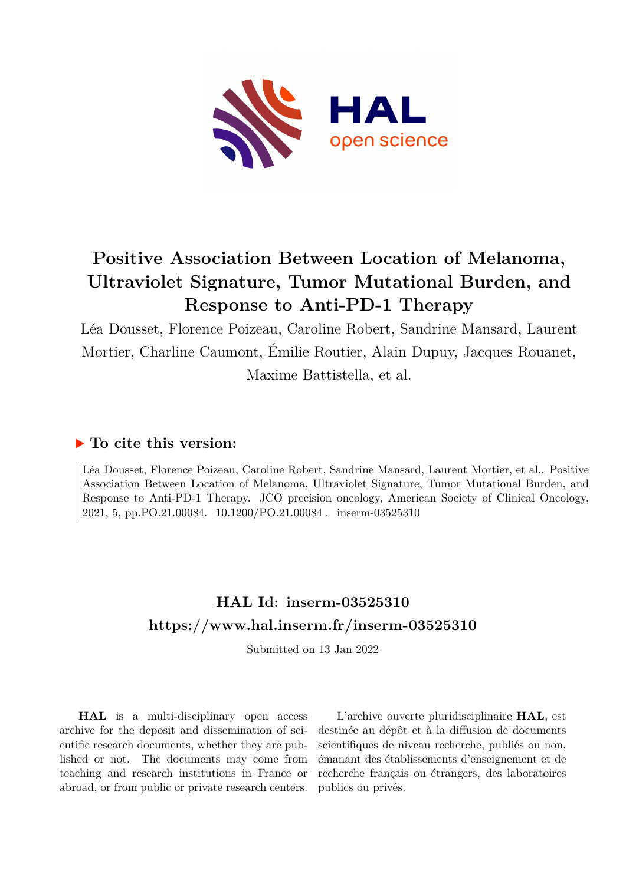

## **Positive Association Between Location of Melanoma, Ultraviolet Signature, Tumor Mutational Burden, and Response to Anti-PD-1 Therapy**

Léa Dousset, Florence Poizeau, Caroline Robert, Sandrine Mansard, Laurent Mortier, Charline Caumont, Émilie Routier, Alain Dupuy, Jacques Rouanet, Maxime Battistella, et al.

## **To cite this version:**

Léa Dousset, Florence Poizeau, Caroline Robert, Sandrine Mansard, Laurent Mortier, et al.. Positive Association Between Location of Melanoma, Ultraviolet Signature, Tumor Mutational Burden, and Response to Anti-PD-1 Therapy. JCO precision oncology, American Society of Clinical Oncology, 2021, 5, pp.PO.21.00084. 10.1200/PO.21.00084. inserm-03525310

## **HAL Id: inserm-03525310 <https://www.hal.inserm.fr/inserm-03525310>**

Submitted on 13 Jan 2022

**HAL** is a multi-disciplinary open access archive for the deposit and dissemination of scientific research documents, whether they are published or not. The documents may come from teaching and research institutions in France or abroad, or from public or private research centers.

L'archive ouverte pluridisciplinaire **HAL**, est destinée au dépôt et à la diffusion de documents scientifiques de niveau recherche, publiés ou non, émanant des établissements d'enseignement et de recherche français ou étrangers, des laboratoires publics ou privés.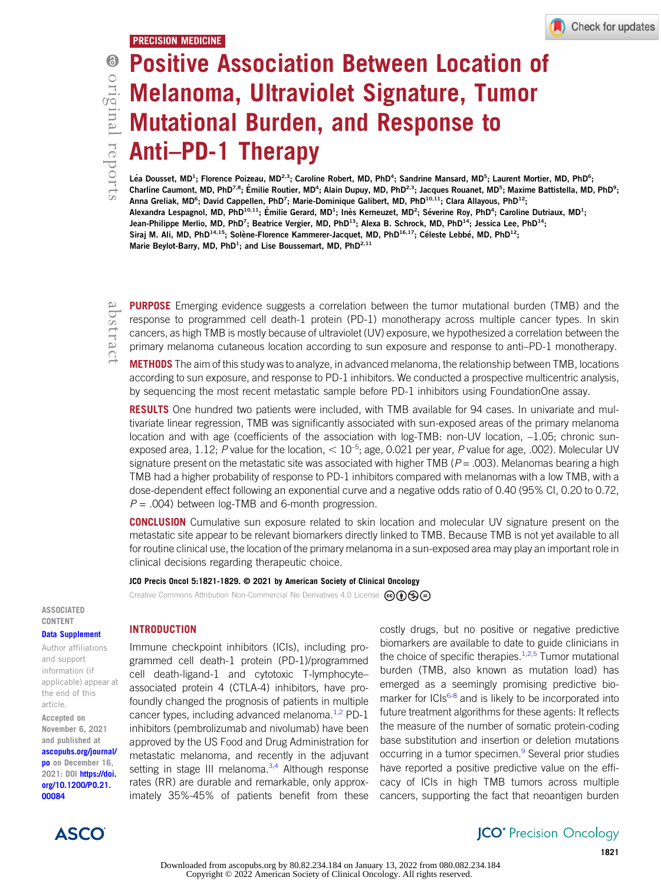# 6 originalreports

## Positive Association Between Location of Melanoma, Ultraviolet Signature, Tumor Mutational Burden, and Response to Anti–PD-1 Therapy

Léa Dousset, MD<sup>1</sup>; Florence Poizeau, MD<sup>2,3</sup>; Caroline Robert, MD, PhD<sup>4</sup>; Sandrine Mansard, MD<sup>5</sup>; Laurent Mortier, MD, PhD<sup>6</sup>; Charline Caumont, MD, PhD<sup>7,8</sup>; Émilie Routier, MD<sup>4</sup>; Alain Dupuy, MD, PhD<sup>2,3</sup>; Jacques Rouanet, MD<sup>5</sup>; Maxime Battistella, MD, PhD<sup>9</sup>; Anna Greliak, MD<sup>6</sup>; David Cappellen, PhD<sup>7</sup>; Marie-Dominique Galibert, MD, PhD<sup>10,11</sup>; Clara Allayous, PhD<sup>12</sup>; Alexandra Lespagnol, MD, PhD<sup>10,11</sup>; Émilie Gerard, MD<sup>1</sup>; Inès Kerneuzet, MD<sup>2</sup>; Séverine Roy, PhD<sup>4</sup>; Caroline Dutriaux, MD<sup>1</sup>; Jean-Philippe Merlio, MD, PhD<sup>7</sup>; Beatrice Vergier, MD, PhD<sup>13</sup>; Alexa B. Schrock, MD, PhD<sup>14</sup>; Jessica Lee, PhD<sup>14</sup>; Siraj M. Ali, MD, PhD<sup>14,15</sup>; Solène-Florence Kammerer-Jacquet, MD, PhD<sup>16,17</sup>; Céleste Lebbé, MD, PhD<sup>12</sup>; Marie Beylot-Barry, MD, PhD<sup>1</sup>; and Lise Boussemart, MD, PhD<sup>2,11</sup>

**PURPOSE** Emerging evidence suggests a correlation between the tumor mutational burden (TMB) and the response to programmed cell death-1 protein (PD-1) monotherapy across multiple cancer types. In skin cancers, as high TMB is mostly because of ultraviolet (UV) exposure, we hypothesized a correlation between the primary melanoma cutaneous location according to sun exposure and response to anti–PD-1 monotherapy.

METHODS The aim of this study was to analyze, in advanced melanoma, the relationship between TMB, locations according to sun exposure, and response to PD-1 inhibitors. We conducted a prospective multicentric analysis, by sequencing the most recent metastatic sample before PD-1 inhibitors using FoundationOne assay.

**RESULTS** One hundred two patients were included, with TMB available for 94 cases. In univariate and multivariate linear regression, TMB was significantly associated with sun-exposed areas of the primary melanoma location and with age (coefficients of the association with log-TMB: non-UV location, -1.05; chronic sunexposed area, 1.12; P value for the location,  $< 10^{-5}$ ; age, 0.021 per year, P value for age, .002). Molecular UV signature present on the metastatic site was associated with higher TMB ( $P = .003$ ). Melanomas bearing a high TMB had a higher probability of response to PD-1 inhibitors compared with melanomas with a low TMB, with a dose-dependent effect following an exponential curve and a negative odds ratio of 0.40 (95% CI, 0.20 to 0.72,  $P = .004$ ) between log-TMB and 6-month progression.

**CONCLUSION** Cumulative sun exposure related to skin location and molecular UV signature present on the metastatic site appear to be relevant biomarkers directly linked to TMB. Because TMB is not yet available to all for routine clinical use, the location of the primary melanoma in a sun-exposed area may play an important role in clinical decisions regarding therapeutic choice.

#### JCO Precis Oncol 5:1821-1829. © 2021 by American Society of Clinical Oncology

Creative Commons Attribution Non-Commercial No Derivatives 4.0 License  $\omega$  (i) s

ASSOCIATED CONTENT

#### [Data Supplement](https://ascopubs.org/doi/suppl/10.1200/PO.21.00084)

Author affiliations and support information (if applicable) appear at the end of this article.

Accepted on November 6, 2021 and published at [ascopubs.org/journal/](http://ascopubs.org/journal/po) [po](http://ascopubs.org/journal/po) on December 16, 2021: DOI [https://doi.](http://ascopubs.org/doi/full/10.1200/PO.21.00084) [org/10.1200/PO.21.](http://ascopubs.org/doi/full/10.1200/PO.21.00084) [00084](http://ascopubs.org/doi/full/10.1200/PO.21.00084)



### **INTRODUCTION**

Immune checkpoint inhibitors (ICIs), including programmed cell death-1 protein (PD-1)/programmed cell death-ligand-1 and cytotoxic T-lymphocyte– associated protein 4 (CTLA-4) inhibitors, have profoundly changed the prognosis of patients in multiple cancer types, including advanced melanoma. $1,2$  PD-1 inhibitors (pembrolizumab and nivolumab) have been approved by the US Food and Drug Administration for metastatic melanoma, and recently in the adjuvant setting in stage III melanoma.<sup>3,4</sup> Although response rates (RR) are durable and remarkable, only approximately 35%-45% of patients benefit from these

costly drugs, but no positive or negative predictive biomarkers are available to date to guide clinicians in the choice of specific therapies. $1,2,5$  Tumor mutational burden (TMB, also known as mutation load) has emerged as a seemingly promising predictive biomarker for  $ICIs^{6-8}$  and is likely to be incorporated into future treatment algorithms for these agents: It reflects the measure of the number of somatic protein-coding base substitution and insertion or deletion mutations occurring in a tumor specimen.<sup>9</sup> Several prior studies have reported a positive predictive value on the efficacy of ICIs in high TMB tumors across multiple cancers, supporting the fact that neoantigen burden

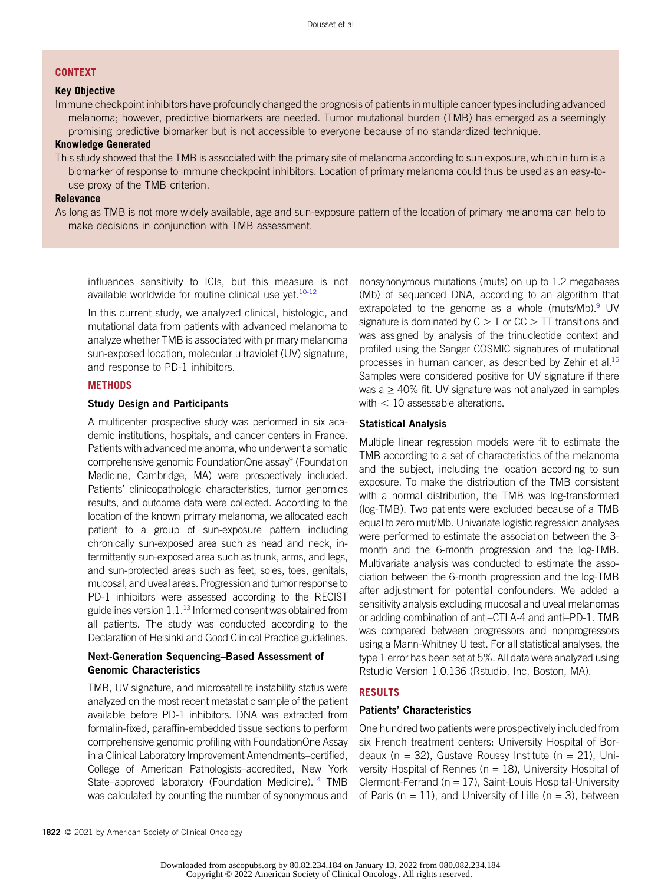#### **CONTEXT**

#### Key Objective

Immune checkpoint inhibitors have profoundly changed the prognosis of patients in multiple cancer types including advanced melanoma; however, predictive biomarkers are needed. Tumor mutational burden (TMB) has emerged as a seemingly promising predictive biomarker but is not accessible to everyone because of no standardized technique.

#### Knowledge Generated

This study showed that the TMB is associated with the primary site of melanoma according to sun exposure, which in turn is a biomarker of response to immune checkpoint inhibitors. Location of primary melanoma could thus be used as an easy-touse proxy of the TMB criterion.

#### Relevance

As long as TMB is not more widely available, age and sun-exposure pattern of the location of primary melanoma can help to make decisions in conjunction with TMB assessment.

influences sensitivity to ICIs, but this measure is not available worldwide for routine clinical use yet. $10-12$ 

In this current study, we analyzed clinical, histologic, and mutational data from patients with advanced melanoma to analyze whether TMB is associated with primary melanoma sun-exposed location, molecular ultraviolet (UV) signature, and response to PD-1 inhibitors.

#### **METHODS**

#### Study Design and Participants

A multicenter prospective study was performed in six academic institutions, hospitals, and cancer centers in France. Patients with advanced melanoma, who underwent a somatic comprehensive genomic FoundationOne assay<sup>9</sup> (Foundation Medicine, Cambridge, MA) were prospectively included. Patients' clinicopathologic characteristics, tumor genomics results, and outcome data were collected. According to the location of the known primary melanoma, we allocated each patient to a group of sun-exposure pattern including chronically sun-exposed area such as head and neck, intermittently sun-exposed area such as trunk, arms, and legs, and sun-protected areas such as feet, soles, toes, genitals, mucosal, and uveal areas. Progression and tumor response to PD-1 inhibitors were assessed according to the RECIST guidelines version  $1.1^{13}$  Informed consent was obtained from all patients. The study was conducted according to the Declaration of Helsinki and Good Clinical Practice guidelines.

#### Next-Generation Sequencing–Based Assessment of Genomic Characteristics

TMB, UV signature, and microsatellite instability status were analyzed on the most recent metastatic sample of the patient available before PD-1 inhibitors. DNA was extracted from formalin-fixed, paraffin-embedded tissue sections to perform comprehensive genomic profiling with FoundationOne Assay in a Clinical Laboratory Improvement Amendments–certified, College of American Pathologists–accredited, New York State–approved laboratory (Foundation Medicine).<sup>14</sup> TMB was calculated by counting the number of synonymous and nonsynonymous mutations (muts) on up to 1.2 megabases (Mb) of sequenced DNA, according to an algorithm that extrapolated to the genome as a whole (muts/Mb). UV signature is dominated by  $C > T$  or  $CC > TT$  transitions and was assigned by analysis of the trinucleotide context and profiled using the Sanger COSMIC signatures of mutational processes in human cancer, as described by Zehir et al.<sup>15</sup> Samples were considered positive for UV signature if there was a  $\geq$  40% fit. UV signature was not analyzed in samples with  $<$  10 assessable alterations.

#### Statistical Analysis

Multiple linear regression models were fit to estimate the TMB according to a set of characteristics of the melanoma and the subject, including the location according to sun exposure. To make the distribution of the TMB consistent with a normal distribution, the TMB was log-transformed (log-TMB). Two patients were excluded because of a TMB equal to zero mut/Mb. Univariate logistic regression analyses were performed to estimate the association between the 3 month and the 6-month progression and the log-TMB. Multivariate analysis was conducted to estimate the association between the 6-month progression and the log-TMB after adjustment for potential confounders. We added a sensitivity analysis excluding mucosal and uveal melanomas or adding combination of anti–CTLA-4 and anti–PD-1. TMB was compared between progressors and nonprogressors using a Mann-Whitney U test. For all statistical analyses, the type 1 error has been set at 5%. All data were analyzed using Rstudio Version 1.0.136 (Rstudio, Inc, Boston, MA).

#### RESULTS

#### Patients' Characteristics

One hundred two patients were prospectively included from six French treatment centers: University Hospital of Bordeaux (n = 32), Gustave Roussy Institute (n = 21), University Hospital of Rennes ( $n = 18$ ), University Hospital of Clermont-Ferrand ( $n = 17$ ), Saint-Louis Hospital-University of Paris ( $n = 11$ ), and University of Lille ( $n = 3$ ), between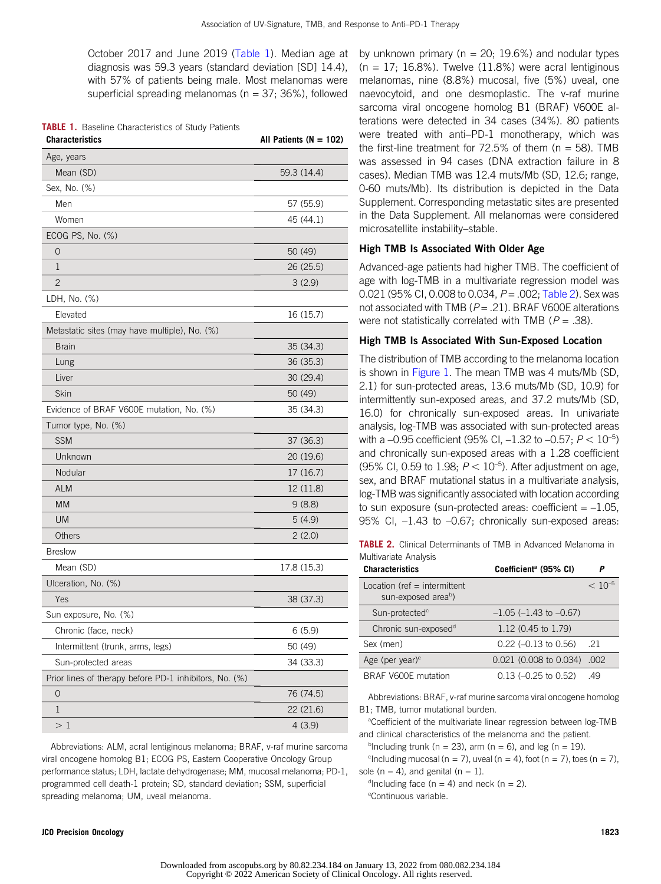October 2017 and June 2019 (Table 1). Median age at diagnosis was 59.3 years (standard deviation [SD] 14.4), with 57% of patients being male. Most melanomas were superficial spreading melanomas ( $n = 37$ ; 36%), followed

|  |  | <b>TABLE 1.</b> Baseline Characteristics of Study Patients |  |  |
|--|--|------------------------------------------------------------|--|--|
|--|--|------------------------------------------------------------|--|--|

| <b>Characteristics</b>                                 | All Patients ( $N = 102$ ) |
|--------------------------------------------------------|----------------------------|
| Age, years                                             |                            |
| Mean (SD)                                              | 59.3 (14.4)                |
| Sex, No. (%)                                           |                            |
| Men                                                    | 57 (55.9)                  |
| Women                                                  | 45 (44.1)                  |
| ECOG PS, No. (%)                                       |                            |
| $\overline{0}$                                         | 50 (49)                    |
| 1                                                      | 26 (25.5)                  |
| $\overline{2}$                                         | 3(2.9)                     |
| LDH, No. (%)                                           |                            |
| Elevated                                               | 16 (15.7)                  |
| Metastatic sites (may have multiple), No. (%)          |                            |
| <b>Brain</b>                                           | 35 (34.3)                  |
| Lung                                                   | 36 (35.3)                  |
| Liver                                                  | 30 (29.4)                  |
| Skin                                                   | 50 (49)                    |
| Evidence of BRAF V600E mutation, No. (%)               | 35 (34.3)                  |
| Tumor type, No. (%)                                    |                            |
| <b>SSM</b>                                             | 37 (36.3)                  |
| Unknown                                                | 20 (19.6)                  |
| Nodular                                                | 17 (16.7)                  |
| <b>ALM</b>                                             | 12 (11.8)                  |
| <b>MM</b>                                              | 9(8.8)                     |
| <b>UM</b>                                              | 5(4.9)                     |
| Others                                                 | 2(2.0)                     |
| <b>Breslow</b>                                         |                            |
| Mean (SD)                                              | 17.8 (15.3)                |
| Ulceration, No. (%)                                    |                            |
| Yes                                                    | 38 (37.3)                  |
| Sun exposure, No. (%)                                  |                            |
| Chronic (face, neck)                                   | 6(5.9)                     |
| Intermittent (trunk, arms, legs)                       | 50 (49)                    |
| Sun-protected areas                                    | 34 (33.3)                  |
| Prior lines of therapy before PD-1 inhibitors, No. (%) |                            |
| 0                                                      | 76 (74.5)                  |
| 1                                                      | 22 (21.6)                  |
| $>1\,$                                                 | 4(3.9)                     |

Abbreviations: ALM, acral lentiginous melanoma; BRAF, v-raf murine sarcoma viral oncogene homolog B1; ECOG PS, Eastern Cooperative Oncology Group performance status; LDH, lactate dehydrogenase; MM, mucosal melanoma; PD-1, programmed cell death-1 protein; SD, standard deviation; SSM, superficial spreading melanoma; UM, uveal melanoma.

by unknown primary ( $n = 20$ ; 19.6%) and nodular types  $(n = 17; 16.8\%)$ . Twelve  $(11.8\%)$  were acral lentiginous melanomas, nine (8.8%) mucosal, five (5%) uveal, one naevocytoid, and one desmoplastic. The v-raf murine sarcoma viral oncogene homolog B1 (BRAF) V600E alterations were detected in 34 cases (34%). 80 patients were treated with anti–PD-1 monotherapy, which was the first-line treatment for  $72.5\%$  of them (n = 58). TMB was assessed in 94 cases (DNA extraction failure in 8 cases). Median TMB was 12.4 muts/Mb (SD, 12.6; range, 0-60 muts/Mb). Its distribution is depicted in the Data Supplement. Corresponding metastatic sites are presented in the Data Supplement. All melanomas were considered microsatellite instability–stable.

#### High TMB Is Associated With Older Age

Advanced-age patients had higher TMB. The coefficient of age with log-TMB in a multivariate regression model was 0.021 (95% CI, 0.008 to 0.034,  $P = .002$ ; Table 2). Sex was not associated with TMB ( $P = .21$ ). BRAF V600E alterations were not statistically correlated with TMB ( $P = .38$ ).

#### High TMB Is Associated With Sun-Exposed Location

The distribution of TMB according to the melanoma location is shown in Figure 1. The mean TMB was 4 muts/Mb (SD, 2.1) for sun-protected areas, 13.6 muts/Mb (SD, 10.9) for intermittently sun-exposed areas, and 37.2 muts/Mb (SD, 16.0) for chronically sun-exposed areas. In univariate analysis, log-TMB was associated with sun-protected areas with a  $-0.95$  coefficient (95% CI,  $-1.32$  to  $-0.57$ ;  $P < 10^{-5}$ ) and chronically sun-exposed areas with a 1.28 coefficient (95% CI, 0.59 to 1.98;  $P < 10^{-5}$ ). After adjustment on age, sex, and BRAF mutational status in a multivariate analysis, log-TMB was significantly associated with location according to sun exposure (sun-protected areas: coefficient  $= -1.05$ , 95% CI, –1.43 to –0.67; chronically sun-exposed areas:

**TABLE 2.** Clinical Determinants of TMB in Advanced Melanoma in Multivariate Analysis

| <b>Characteristics</b>                                            | Coefficient <sup>a</sup> (95% CI) |             |
|-------------------------------------------------------------------|-----------------------------------|-------------|
| Location (ref $=$ intermittent<br>sun-exposed area <sup>b</sup> ) |                                   | $< 10^{-5}$ |
| Sun-protected <sup>c</sup>                                        | $-1.05$ ( $-1.43$ to $-0.67$ )    |             |
| Chronic sun-exposed <sup>d</sup>                                  | 1.12 (0.45 to 1.79)               |             |
| Sex (men)                                                         | $0.22$ (-0.13 to 0.56)            | -21         |
| Age (per year) <sup>e</sup>                                       | $0.021$ (0.008 to 0.034)          | .002        |
| BRAF V600E mutation                                               | $0.13$ (-0.25 to 0.52)            | .49         |

Abbreviations: BRAF, v-raf murine sarcoma viral oncogene homolog B1; TMB, tumor mutational burden.

<sup>a</sup>Coefficient of the multivariate linear regression between log-TMB and clinical characteristics of the melanoma and the patient.

<sup>b</sup>Including trunk (n = 23), arm (n = 6), and leg (n = 19).

<sup>c</sup>Including mucosal (n = 7), uveal (n = 4), foot (n = 7), toes (n = 7), sole ( $n = 4$ ), and genital ( $n = 1$ ).

d Including face ( $n = 4$ ) and neck ( $n = 2$ ). e Continuous variable.

#### JCO Precision Oncology 1823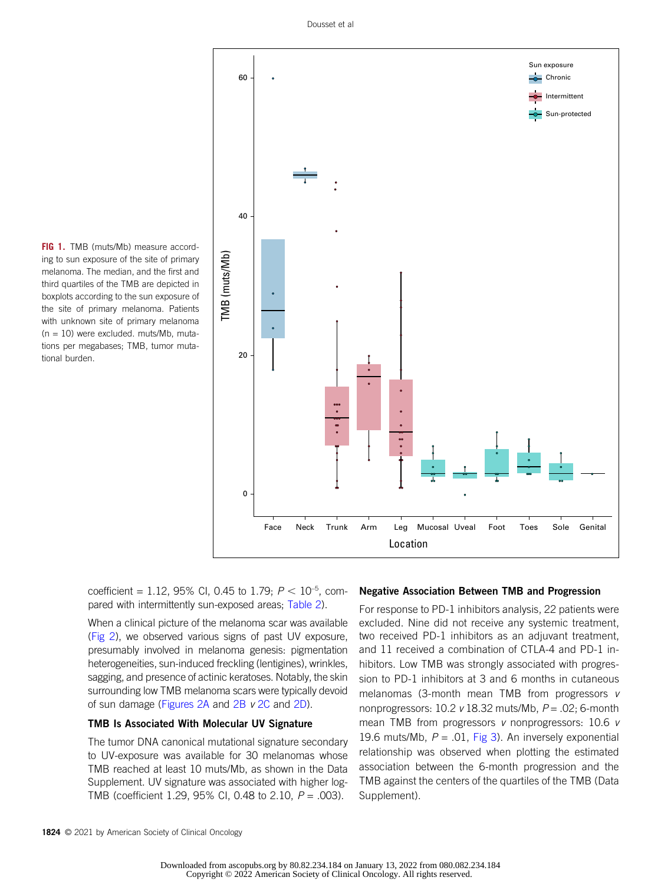

FIG 1. TMB (muts/Mb) measure according to sun exposure of the site of primary melanoma. The median, and the first and third quartiles of the TMB are depicted in boxplots according to the sun exposure of the site of primary melanoma. Patients with unknown site of primary melanoma  $(n = 10)$  were excluded. muts/Mb, mutations per megabases; TMB, tumor mutational burden.

> coefficient = 1.12, 95% CI, 0.45 to 1.79;  $P < 10^{-5}$ , compared with intermittently sun-exposed areas; Table 2).

When a clinical picture of the melanoma scar was available (Fig 2), we observed various signs of past UV exposure, presumably involved in melanoma genesis: pigmentation heterogeneities, sun-induced freckling (lentigines), wrinkles, sagging, and presence of actinic keratoses. Notably, the skin surrounding low TMB melanoma scars were typically devoid of sun damage (Figures 2A and 2B v 2C and 2D).

#### TMB Is Associated With Molecular UV Signature

The tumor DNA canonical mutational signature secondary to UV-exposure was available for 30 melanomas whose TMB reached at least 10 muts/Mb, as shown in the Data Supplement. UV signature was associated with higher log-TMB (coefficient 1.29, 95% CI, 0.48 to 2.10,  $P = .003$ ).

#### Negative Association Between TMB and Progression

For response to PD-1 inhibitors analysis, 22 patients were excluded. Nine did not receive any systemic treatment, two received PD-1 inhibitors as an adjuvant treatment, and 11 received a combination of CTLA-4 and PD-1 inhibitors. Low TMB was strongly associated with progression to PD-1 inhibitors at 3 and 6 months in cutaneous melanomas (3-month mean TMB from progressors v nonprogressors:  $10.2$  v 18.32 muts/Mb,  $P = .02$ ; 6-month mean TMB from progressors v nonprogressors: 10.6 v 19.6 muts/Mb,  $P = .01$ , Fig 3). An inversely exponential relationship was observed when plotting the estimated association between the 6-month progression and the TMB against the centers of the quartiles of the TMB (Data Supplement).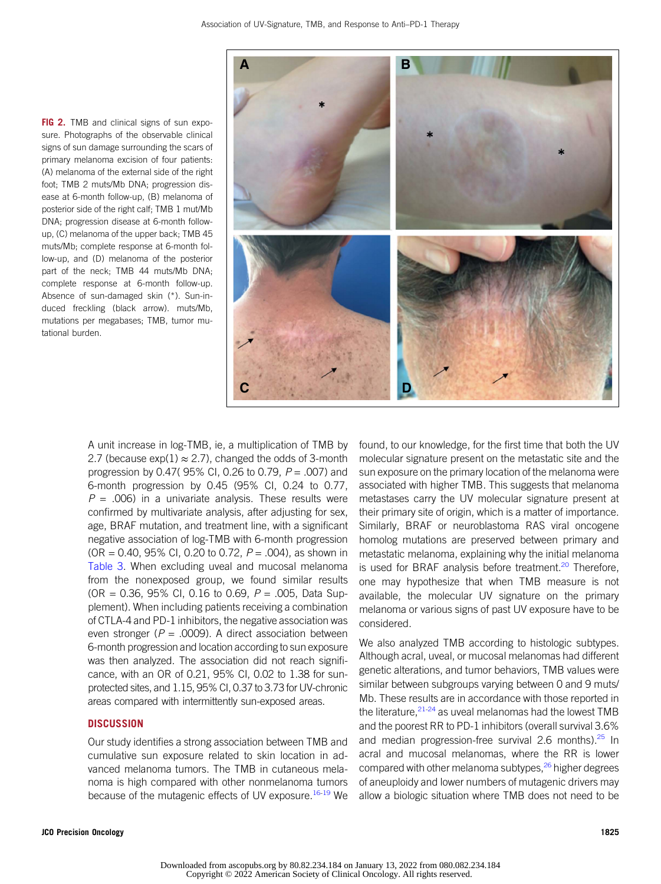FIG 2. TMB and clinical signs of sun exposure. Photographs of the observable clinical signs of sun damage surrounding the scars of primary melanoma excision of four patients: (A) melanoma of the external side of the right foot; TMB 2 muts/Mb DNA; progression disease at 6-month follow-up, (B) melanoma of posterior side of the right calf; TMB 1 mut/Mb DNA; progression disease at 6-month followup, (C) melanoma of the upper back; TMB 45 muts/Mb; complete response at 6-month follow-up, and (D) melanoma of the posterior part of the neck; TMB 44 muts/Mb DNA; complete response at 6-month follow-up. Absence of sun-damaged skin (\*). Sun-induced freckling (black arrow). muts/Mb, mutations per megabases; TMB, tumor mutational burden.



A unit increase in log-TMB, ie, a multiplication of TMB by 2.7 (because  $exp(1) \approx 2.7$ ), changed the odds of 3-month progression by 0.47(95% CI, 0.26 to 0.79,  $P = .007$ ) and 6-month progression by 0.45 (95% CI, 0.24 to 0.77,  $P = .006$ ) in a univariate analysis. These results were confirmed by multivariate analysis, after adjusting for sex, age, BRAF mutation, and treatment line, with a significant negative association of log-TMB with 6-month progression (OR = 0.40, 95% CI, 0.20 to 0.72,  $P = .004$ ), as shown in Table 3. When excluding uveal and mucosal melanoma from the nonexposed group, we found similar results  $(OR = 0.36, 95\% \text{ Cl}, 0.16 \text{ to } 0.69, P = .005, Data Sup$ plement). When including patients receiving a combination of CTLA-4 and PD-1 inhibitors, the negative association was even stronger ( $P = .0009$ ). A direct association between 6-month progression and location according to sun exposure was then analyzed. The association did not reach significance, with an OR of 0.21, 95% CI, 0.02 to 1.38 for sunprotected sites, and 1.15, 95% CI, 0.37 to 3.73 for UV-chronic areas compared with intermittently sun-exposed areas.

#### **DISCUSSION**

Our study identifies a strong association between TMB and cumulative sun exposure related to skin location in advanced melanoma tumors. The TMB in cutaneous melanoma is high compared with other nonmelanoma tumors because of the mutagenic effects of UV exposure.<sup>16-19</sup> We found, to our knowledge, for the first time that both the UV molecular signature present on the metastatic site and the sun exposure on the primary location of the melanoma were associated with higher TMB. This suggests that melanoma metastases carry the UV molecular signature present at their primary site of origin, which is a matter of importance. Similarly, BRAF or neuroblastoma RAS viral oncogene homolog mutations are preserved between primary and metastatic melanoma, explaining why the initial melanoma is used for BRAF analysis before treatment.<sup>20</sup> Therefore, one may hypothesize that when TMB measure is not available, the molecular UV signature on the primary melanoma or various signs of past UV exposure have to be considered.

We also analyzed TMB according to histologic subtypes. Although acral, uveal, or mucosal melanomas had different genetic alterations, and tumor behaviors, TMB values were similar between subgroups varying between 0 and 9 muts/ Mb. These results are in accordance with those reported in the literature, $2^{1-24}$  as uveal melanomas had the lowest TMB and the poorest RR to PD-1 inhibitors (overall survival 3.6% and median progression-free survival 2.6 months). $25 \text{ In}$ acral and mucosal melanomas, where the RR is lower compared with other melanoma subtypes,<sup>26</sup> higher degrees of aneuploidy and lower numbers of mutagenic drivers may allow a biologic situation where TMB does not need to be

Downloaded from ascopubs.org by 80.82.234.184 on January 13, 2022 from 080.082.234.184 Copyright © 2022 American Society of Clinical Oncology. All rights reserved.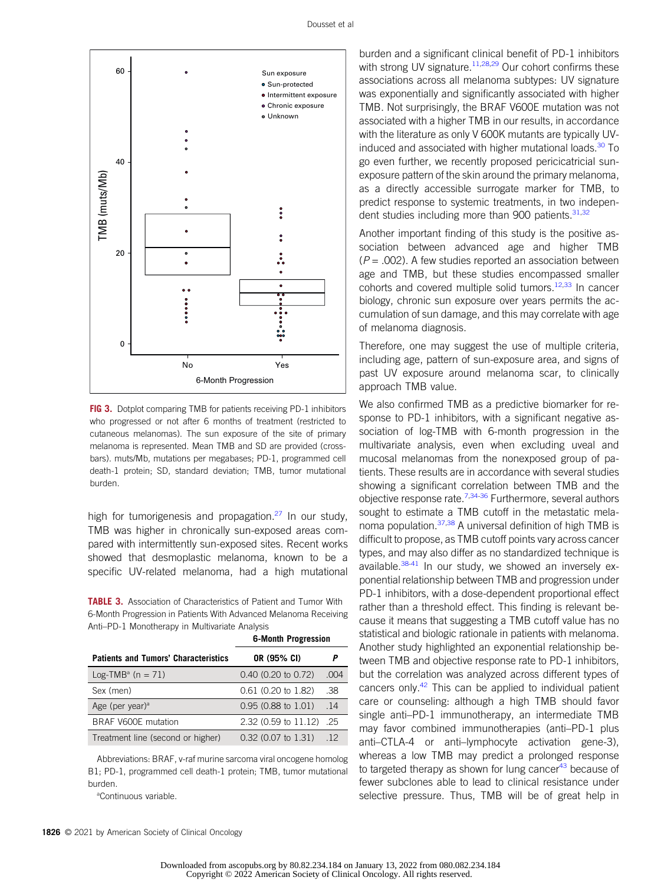

FIG 3. Dotplot comparing TMB for patients receiving PD-1 inhibitors who progressed or not after 6 months of treatment (restricted to cutaneous melanomas). The sun exposure of the site of primary melanoma is represented. Mean TMB and SD are provided (crossbars). muts/Mb, mutations per megabases; PD-1, programmed cell death-1 protein; SD, standard deviation; TMB, tumor mutational burden.

high for tumorigenesis and propagation. $27$  In our study, TMB was higher in chronically sun-exposed areas compared with intermittently sun-exposed sites. Recent works showed that desmoplastic melanoma, known to be a specific UV-related melanoma, had a high mutational

TABLE 3. Association of Characteristics of Patient and Tumor With 6-Month Progression in Patients With Advanced Melanoma Receiving Anti–PD-1 Monotherapy in Multivariate Analysis

6-Month Progression

|                                             | 5.111                         |      |  |
|---------------------------------------------|-------------------------------|------|--|
| <b>Patients and Tumors' Characteristics</b> | OR (95% CI)                   |      |  |
| Log-TMB <sup>a</sup> (n = 71)               | $0.40$ (0.20 to 0.72)         | .004 |  |
| Sex (men)                                   | $0.61$ (0.20 to 1.82)         | .38  |  |
| Age (per year) $a$                          | $0.95(0.88 \text{ to } 1.01)$ | .14  |  |
| BRAF V600E mutation                         | 2.32 (0.59 to 11.12) .25      |      |  |
| Treatment line (second or higher)           | $0.32$ (0.07 to 1.31)         | .12  |  |

Abbreviations: BRAF, v-raf murine sarcoma viral oncogene homolog B1; PD-1, programmed cell death-1 protein; TMB, tumor mutational burden.

a Continuous variable.

1826 © 2021 by American Society of Clinical Oncology

burden and a significant clinical benefit of PD-1 inhibitors with strong UV signature.<sup>11,28,29</sup> Our cohort confirms these associations across all melanoma subtypes: UV signature was exponentially and significantly associated with higher TMB. Not surprisingly, the BRAF V600E mutation was not associated with a higher TMB in our results, in accordance with the literature as only V 600K mutants are typically UVinduced and associated with higher mutational loads.<sup>30</sup> To go even further, we recently proposed pericicatricial sunexposure pattern of the skin around the primary melanoma, as a directly accessible surrogate marker for TMB, to predict response to systemic treatments, in two independent studies including more than 900 patients.<sup>31,32</sup>

Another important finding of this study is the positive association between advanced age and higher TMB  $(P = .002)$ . A few studies reported an association between age and TMB, but these studies encompassed smaller cohorts and covered multiple solid tumors.<sup>12,33</sup> In cancer biology, chronic sun exposure over years permits the accumulation of sun damage, and this may correlate with age of melanoma diagnosis.

Therefore, one may suggest the use of multiple criteria, including age, pattern of sun-exposure area, and signs of past UV exposure around melanoma scar, to clinically approach TMB value.

We also confirmed TMB as a predictive biomarker for response to PD-1 inhibitors, with a significant negative association of log-TMB with 6-month progression in the multivariate analysis, even when excluding uveal and mucosal melanomas from the nonexposed group of patients. These results are in accordance with several studies showing a significant correlation between TMB and the objective response rate.<sup>7,34-36</sup> Furthermore, several authors sought to estimate a TMB cutoff in the metastatic melanoma population. $37,38$  A universal definition of high TMB is difficult to propose, as TMB cutoff points vary across cancer types, and may also differ as no standardized technique is available. $38-41$  In our study, we showed an inversely exponential relationship between TMB and progression under PD-1 inhibitors, with a dose-dependent proportional effect rather than a threshold effect. This finding is relevant because it means that suggesting a TMB cutoff value has no statistical and biologic rationale in patients with melanoma. Another study highlighted an exponential relationship between TMB and objective response rate to PD-1 inhibitors, but the correlation was analyzed across different types of cancers only.<sup>42</sup> This can be applied to individual patient care or counseling: although a high TMB should favor single anti–PD-1 immunotherapy, an intermediate TMB may favor combined immunotherapies (anti–PD-1 plus anti–CTLA-4 or anti–lymphocyte activation gene-3), whereas a low TMB may predict a prolonged response to targeted therapy as shown for lung cancer<sup>43</sup> because of fewer subclones able to lead to clinical resistance under selective pressure. Thus, TMB will be of great help in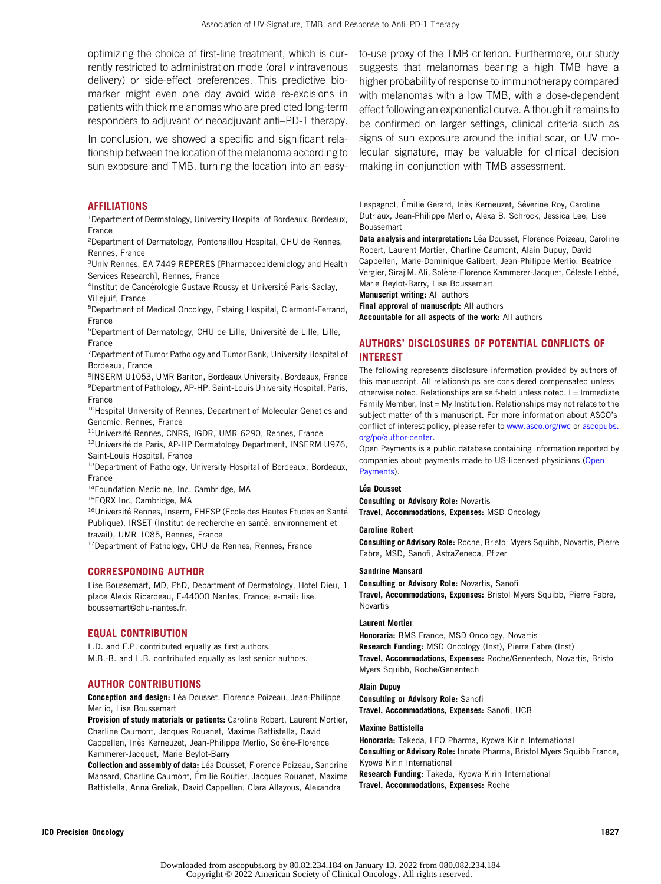optimizing the choice of first-line treatment, which is currently restricted to administration mode (oral v intravenous delivery) or side-effect preferences. This predictive biomarker might even one day avoid wide re-excisions in patients with thick melanomas who are predicted long-term responders to adjuvant or neoadjuvant anti–PD-1 therapy.

In conclusion, we showed a specific and significant relationship between the location of the melanoma according to sun exposure and TMB, turning the location into an easy-

#### **AFFILIATIONS**

<sup>1</sup> Department of Dermatology, University Hospital of Bordeaux, Bordeaux, France

2 Department of Dermatology, Pontchaillou Hospital, CHU de Rennes, Rennes, France

<sup>3</sup>Univ Rennes, EA 7449 REPERES [Pharmacoepidemiology and Health Services Research], Rennes, France

<sup>4</sup>Institut de Cancérologie Gustave Roussy et Université Paris-Saclay, Villejuif, France

5 Department of Medical Oncology, Estaing Hospital, Clermont-Ferrand, France

<sup>6</sup>Department of Dermatology, CHU de Lille, Université de Lille, Lille, France

<sup>7</sup> Department of Tumor Pathology and Tumor Bank, University Hospital of Bordeaux, France

8 INSERM U1053, UMR Bariton, Bordeaux University, Bordeaux, France <sup>9</sup> Department of Pathology, AP-HP, Saint-Louis University Hospital, Paris, France

<sup>10</sup>Hospital University of Rennes, Department of Molecular Genetics and Genomic, Rennes, France

<sup>11</sup>Université Rennes, CNRS, IGDR, UMR 6290, Rennes, France

 $12$ Université de Paris, AP-HP Dermatology Department, INSERM U976, Saint-Louis Hospital, France

13Department of Pathology, University Hospital of Bordeaux, Bordeaux, France

14Foundation Medicine, Inc, Cambridge, MA

<sup>15</sup>EQRX Inc, Cambridge, MA

<sup>16</sup>Université Rennes, Inserm, EHESP (Ecole des Hautes Etudes en Santé Publique), IRSET (Institut de recherche en santé, environnement et travail), UMR 1085, Rennes, France

<sup>17</sup>Department of Pathology, CHU de Rennes, Rennes, France

#### CORRESPONDING AUTHOR

Lise Boussemart, MD, PhD, Department of Dermatology, Hotel Dieu, 1 place Alexis Ricardeau, F-44000 Nantes, France; e-mail: [lise.](mailto:lise.boussemart@chu-nantes.fr) [boussemart@chu-nantes.fr.](mailto:lise.boussemart@chu-nantes.fr)

#### EQUAL CONTRIBUTION

L.D. and F.P. contributed equally as first authors. M.B.-B. and L.B. contributed equally as last senior authors.

#### AUTHOR CONTRIBUTIONS

Conception and design: Léa Dousset, Florence Poizeau, Jean-Philippe Merlio, Lise Boussemart

Provision of study materials or patients: Caroline Robert, Laurent Mortier, Charline Caumont, Jacques Rouanet, Maxime Battistella, David Cappellen, Inès Kerneuzet, Jean-Philippe Merlio, Solène-Florence Kammerer-Jacquet, Marie Beylot-Barry

Collection and assembly of data: Léa Dousset, Florence Poizeau, Sandrine Mansard, Charline Caumont, Emilie Routier, Jacques Rouanet, Maxime ´ Battistella, Anna Greliak, David Cappellen, Clara Allayous, Alexandra

to-use proxy of the TMB criterion. Furthermore, our study suggests that melanomas bearing a high TMB have a higher probability of response to immunotherapy compared with melanomas with a low TMB, with a dose-dependent effect following an exponential curve. Although it remains to be confirmed on larger settings, clinical criteria such as signs of sun exposure around the initial scar, or UV molecular signature, may be valuable for clinical decision making in conjunction with TMB assessment.

Lespagnol, Emilie Gerard, Inès Kerneuzet, Séverine Roy, Caroline Dutriaux, Jean-Philippe Merlio, Alexa B. Schrock, Jessica Lee, Lise Boussemart

Data analysis and interpretation: Léa Dousset, Florence Poizeau, Caroline Robert, Laurent Mortier, Charline Caumont, Alain Dupuy, David Cappellen, Marie-Dominique Galibert, Jean-Philippe Merlio, Beatrice Vergier, Siraj M. Ali, Solène-Florence Kammerer-Jacquet, Céleste Lebbé, Marie Beylot-Barry, Lise Boussemart

Manuscript writing: All authors

Final approval of manuscript: All authors

Accountable for all aspects of the work: All authors

#### AUTHORS' DISCLOSURES OF POTENTIAL CONFLICTS OF INTEREST

The following represents disclosure information provided by authors of this manuscript. All relationships are considered compensated unless otherwise noted. Relationships are self-held unless noted. I = Immediate Family Member,  $Inst = My$  Institution. Relationships may not relate to the subject matter of this manuscript. For more information about ASCO's conflict of interest policy, please refer to [www.asco.org/rwc](http://www.asco.org/rwc) or [ascopubs.](http://ascopubs.org/po/author-center) [org/po/author-center.](http://ascopubs.org/po/author-center)

Open Payments is a public database containing information reported by companies about payments made to US-licensed physicians [\(Open](https://openpaymentsdata.cms.gov/) [Payments](https://openpaymentsdata.cms.gov/)).

#### Léa Dousset

Consulting or Advisory Role: Novartis Travel, Accommodations, Expenses: MSD Oncology

#### Caroline Robert

Consulting or Advisory Role: Roche, Bristol Myers Squibb, Novartis, Pierre Fabre, MSD, Sanofi, AstraZeneca, Pfizer

#### Sandrine Mansard

Consulting or Advisory Role: Novartis, Sanofi Travel, Accommodations, Expenses: Bristol Myers Squibb, Pierre Fabre, Novartis

#### Laurent Mortier

Honoraria: BMS France, MSD Oncology, Novartis Research Funding: MSD Oncology (Inst), Pierre Fabre (Inst) Travel, Accommodations, Expenses: Roche/Genentech, Novartis, Bristol Myers Squibb, Roche/Genentech

#### Alain Dupuy

Consulting or Advisory Role: Sanofi Travel, Accommodations, Expenses: Sanofi, UCB

#### Maxime Battistella

Honoraria: Takeda, LEO Pharma, Kyowa Kirin International Consulting or Advisory Role: Innate Pharma, Bristol Myers Squibb France, Kyowa Kirin International Research Funding: Takeda, Kyowa Kirin International Travel, Accommodations, Expenses: Roche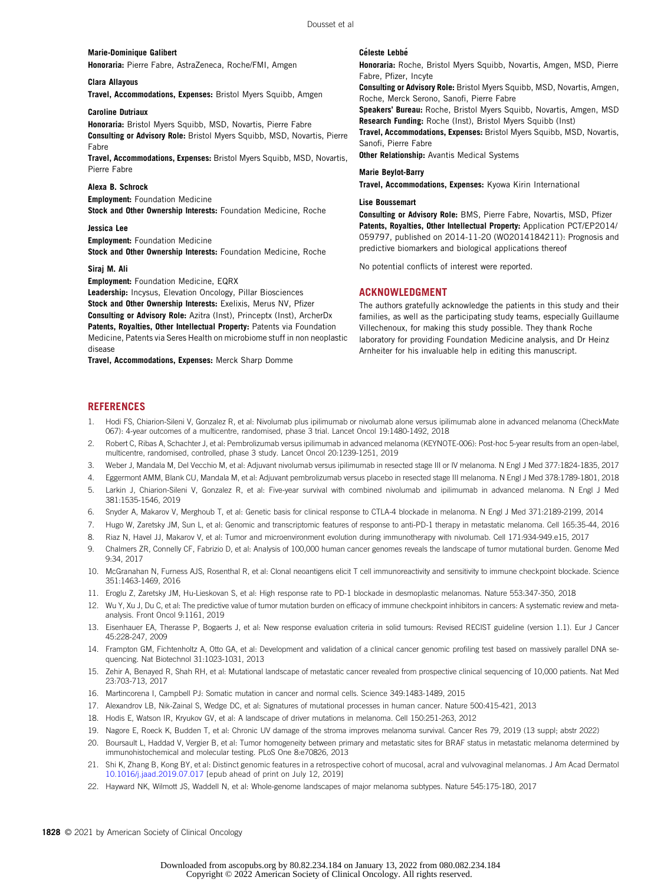#### Marie-Dominique Galibert Honoraria: Pierre Fabre, AstraZeneca, Roche/FMI, Amgen

Clara Allayous

Travel, Accommodations, Expenses: Bristol Myers Squibb, Amgen

#### Caroline Dutriaux

Honoraria: Bristol Myers Squibb, MSD, Novartis, Pierre Fabre Consulting or Advisory Role: Bristol Myers Squibb, MSD, Novartis, Pierre Fabre

Travel, Accommodations, Expenses: Bristol Myers Squibb, MSD, Novartis, Pierre Fabre

#### Alexa B. Schrock

Employment: Foundation Medicine Stock and Other Ownership Interests: Foundation Medicine, Roche

#### Jessica Lee

Employment: Foundation Medicine Stock and Other Ownership Interests: Foundation Medicine, Roche

#### Siraj M. Ali

Employment: Foundation Medicine, EQRX

Leadership: Incysus, Elevation Oncology, Pillar Biosciences Stock and Other Ownership Interests: Exelixis, Merus NV, Pfizer Consulting or Advisory Role: Azitra (Inst), Princeptx (Inst), ArcherDx Patents, Royalties, Other Intellectual Property: Patents via Foundation Medicine, Patents via Seres Health on microbiome stuff in non neoplastic disease

Travel, Accommodations, Expenses: Merck Sharp Domme

#### **Céleste Lebbé**

Honoraria: Roche, Bristol Myers Squibb, Novartis, Amgen, MSD, Pierre Fabre, Pfizer, Incyte

Consulting or Advisory Role: Bristol Myers Squibb, MSD, Novartis, Amgen, Roche, Merck Serono, Sanofi, Pierre Fabre

Speakers' Bureau: Roche, Bristol Myers Squibb, Novartis, Amgen, MSD Research Funding: Roche (Inst), Bristol Myers Squibb (Inst)

Travel, Accommodations, Expenses: Bristol Myers Squibb, MSD, Novartis, Sanofi, Pierre Fabre

**Other Relationship:** Avantis Medical Systems

#### Marie Beylot-Barry

Travel, Accommodations, Expenses: Kyowa Kirin International

#### Lise Boussemart

Consulting or Advisory Role: BMS, Pierre Fabre, Novartis, MSD, Pfizer Patents, Royalties, Other Intellectual Property: Application PCT/EP2014/ 059797, published on 2014-11-20 (WO2014184211): Prognosis and predictive biomarkers and biological applications thereof

No potential conflicts of interest were reported.

#### ACKNOWLEDGMENT

The authors gratefully acknowledge the patients in this study and their families, as well as the participating study teams, especially Guillaume Villechenoux, for making this study possible. They thank Roche laboratory for providing Foundation Medicine analysis, and Dr Heinz Arnheiter for his invaluable help in editing this manuscript.

#### **REFERENCES**

- 1. Hodi FS, Chiarion-Sileni V, Gonzalez R, et al: Nivolumab plus ipilimumab or nivolumab alone versus ipilimumab alone in advanced melanoma (CheckMate 067): 4-year outcomes of a multicentre, randomised, phase 3 trial. Lancet Oncol 19:1480-1492, 2018
- 2. Robert C, Ribas A, Schachter J, et al: Pembrolizumab versus ipilimumab in advanced melanoma (KEYNOTE-006): Post-hoc 5-year results from an open-label, multicentre, randomised, controlled, phase 3 study. Lancet Oncol 20:1239-1251, 2019
- 3. Weber J, Mandala M, Del Vecchio M, et al: Adjuvant nivolumab versus ipilimumab in resected stage III or IV melanoma. N Engl J Med 377:1824-1835, 2017
- 4. Eggermont AMM, Blank CU, Mandala M, et al: Adjuvant pembrolizumab versus placebo in resected stage III melanoma. N Engl J Med 378:1789-1801, 2018
- 5. Larkin J, Chiarion-Sileni V, Gonzalez R, et al: Five-year survival with combined nivolumab and ipilimumab in advanced melanoma. N Engl J Med 381:1535-1546, 2019
- 6. Snyder A, Makarov V, Merghoub T, et al: Genetic basis for clinical response to CTLA-4 blockade in melanoma. N Engl J Med 371:2189-2199, 2014
- 7. Hugo W, Zaretsky JM, Sun L, et al: Genomic and transcriptomic features of response to anti-PD-1 therapy in metastatic melanoma. Cell 165:35-44, 2016
- 8. Riaz N, Havel JJ, Makarov V, et al: Tumor and microenvironment evolution during immunotherapy with nivolumab. Cell 171:934-949.e15, 2017
- 9. Chalmers ZR, Connelly CF, Fabrizio D, et al: Analysis of 100,000 human cancer genomes reveals the landscape of tumor mutational burden. Genome Med 9:34, 2017
- 10. McGranahan N, Furness AJS, Rosenthal R, et al: Clonal neoantigens elicit T cell immunoreactivity and sensitivity to immune checkpoint blockade. Science 351:1463-1469, 2016
- 11. Eroglu Z, Zaretsky JM, Hu-Lieskovan S, et al: High response rate to PD-1 blockade in desmoplastic melanomas. Nature 553:347-350, 2018
- 12. Wu Y, Xu J, Du C, et al: The predictive value of tumor mutation burden on efficacy of immune checkpoint inhibitors in cancers: A systematic review and metaanalysis. Front Oncol 9:1161, 2019
- 13. Eisenhauer EA, Therasse P, Bogaerts J, et al: New response evaluation criteria in solid tumours: Revised RECIST guideline (version 1.1). Eur J Cancer 45:228-247, 2009
- 14. Frampton GM, Fichtenholtz A, Otto GA, et al: Development and validation of a clinical cancer genomic profiling test based on massively parallel DNA sequencing. Nat Biotechnol 31:1023-1031, 2013
- 15. Zehir A, Benayed R, Shah RH, et al: Mutational landscape of metastatic cancer revealed from prospective clinical sequencing of 10,000 patients. Nat Med 23:703-713, 2017
- 16. Martincorena I, Campbell PJ: Somatic mutation in cancer and normal cells. Science 349:1483-1489, 2015
- 17. Alexandrov LB, Nik-Zainal S, Wedge DC, et al: Signatures of mutational processes in human cancer. Nature 500:415-421, 2013
- 18. Hodis E, Watson IR, Kryukov GV, et al: A landscape of driver mutations in melanoma. Cell 150:251-263, 2012
- 19. Nagore E, Roeck K, Budden T, et al: Chronic UV damage of the stroma improves melanoma survival. Cancer Res 79, 2019 (13 suppl; abstr 2022)
- 20. Boursault L, Haddad V, Vergier B, et al: Tumor homogeneity between primary and metastatic sites for BRAF status in metastatic melanoma determined by immunohistochemical and molecular testing. PLoS One 8:e70826, 2013
- 21. Shi K, Zhang B, Kong BY, et al: Distinct genomic features in a retrospective cohort of mucosal, acral and vulvovaginal melanomas. J Am Acad Dermatol [10.1016/j.jaad.2019.07.017](https://dx.doi.org/10.1016/j.jaad.2019.07.017) [epub ahead of print on July 12, 2019]
- 22. Hayward NK, Wilmott JS, Waddell N, et al: Whole-genome landscapes of major melanoma subtypes. Nature 545:175-180, 2017